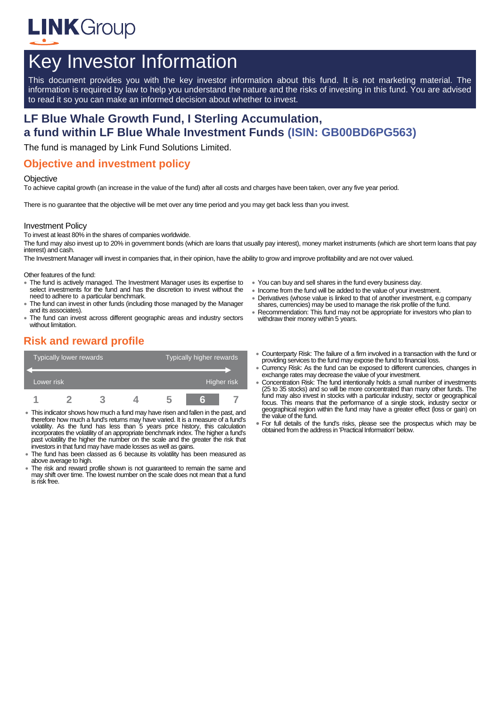

# Key Investor Information

This document provides you with the key investor information about this fund. It is not marketing material. The information is required by law to help you understand the nature and the risks of investing in this fund. You are advised to read it so you can make an informed decision about whether to invest.

# **LF Blue Whale Growth Fund, I Sterling Accumulation, a fund within LF Blue Whale Investment Funds (ISIN: GB00BD6PG563)**

The fund is managed by Link Fund Solutions Limited.

### **Objective and investment policy**

#### **Objective**

To achieve capital growth (an increase in the value of the fund) after all costs and charges have been taken, over any five year period.

There is no guarantee that the objective will be met over any time period and you may get back less than you invest.

#### Investment Policy

To invest at least 80% in the shares of companies worldwide.

The fund may also invest up to 20% in government bonds (which are loans that usually pay interest), money market instruments (which are short term loans that pay interest) and cash.

The Investment Manager will invest in companies that, in their opinion, have the ability to grow and improve profitability and are not over valued.

Other features of the fund:

- The fund is actively managed. The Investment Manager uses its expertise to select investments for the fund and has the discretion to invest without the need to adhere to a particular benchmark.
- The fund can invest in other funds (including those managed by the Manager and its associates).
- The fund can invest across different geographic areas and industry sectors without limitation.
- You can buy and sell shares in the fund every business day.
- Income from the fund will be added to the value of your investment.
- Derivatives (whose value is linked to that of another investment, e.g company shares, currencies) may be used to manage the risk profile of the fund.
- Recommendation: This fund may not be appropriate for investors who plan to withdraw their money within 5 years.

# **Risk and reward profile**

|            | <b>Typically lower rewards</b> |  | <b>Typically higher rewards</b> |  |             |  |
|------------|--------------------------------|--|---------------------------------|--|-------------|--|
| Lower risk |                                |  |                                 |  | Higher risk |  |
|            |                                |  |                                 |  | 'n          |  |

- This indicator shows how much a fund may have risen and fallen in the past, and therefore how much a fund's returns may have varied. It is a measure of a fund's volatility. As the fund has less than 5 years price history, this calculation incorporates the volatility of an appropriate benchmark index. The higher a fund's past volatility the higher the number on the scale and the greater the risk that investors in that fund may have made losses as well as gains.
- The fund has been classed as 6 because its volatility has been measured as above average to high.
- The risk and reward profile shown is not guaranteed to remain the same and may shift over time. The lowest number on the scale does not mean that a fund is risk free.
- Counterparty Risk: The failure of a firm involved in a transaction with the fund or providing services to the fund may expose the fund to financial loss.
- Currency Risk: As the fund can be exposed to different currencies, changes in exchange rates may decrease the value of your investment.
- Concentration Risk: The fund intentionally holds a small number of investments (25 to 35 stocks) and so will be more concentrated than many other funds. The fund may also invest in stocks with a particular industry, sector or geographical focus. This means that the performance of a single stock, industry sector or geographical region within the fund may have a greater effect (loss or gain) on the value of the fund.
- For full details of the fund's risks, please see the prospectus which may be obtained from the address in 'Practical Information' below.